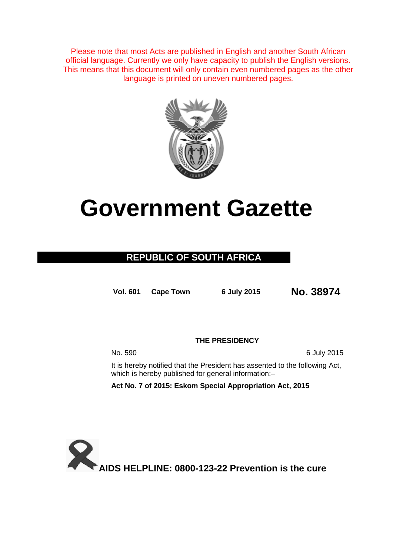Please note that most Acts are published in English and another South African official language. Currently we only have capacity to publish the English versions. This means that this document will only contain even numbered pages as the other language is printed on uneven numbered pages.



# **Government Gazette**

### **REPUBLIC OF SOUTH AFRICA**

**Vol. 601 Cape Town <sup>6</sup> July <sup>2015</sup> No. 38974**

**THE PRESIDENCY**

No. 590 6 July 2015

It is hereby notified that the President has assented to the following Act, which is hereby published for general information:–

**Act No. 7 of 2015: Eskom Special Appropriation Act, 2015**